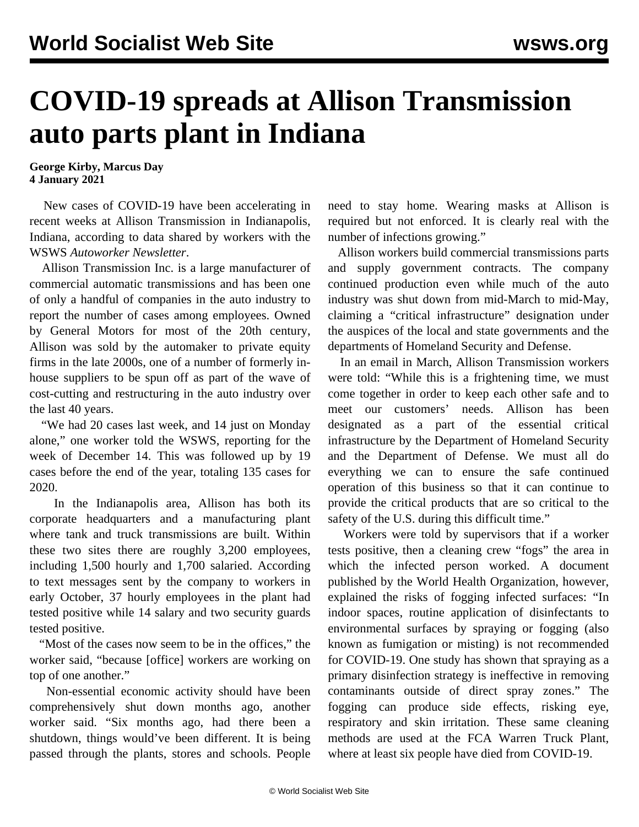## **COVID-19 spreads at Allison Transmission auto parts plant in Indiana**

**George Kirby, Marcus Day 4 January 2021**

 New cases of COVID-19 have been accelerating in recent weeks at Allison Transmission in Indianapolis, Indiana, according to data shared by workers with the WSWS *Autoworker Newsletter*.

 Allison Transmission Inc. is a large manufacturer of commercial automatic transmissions and has been one of only a handful of companies in the auto industry to report the number of cases among employees. Owned by General Motors for most of the 20th century, Allison was sold by the automaker to private equity firms in the late 2000s, one of a number of formerly inhouse suppliers to be spun off as part of the wave of cost-cutting and restructuring in the auto industry over the last 40 years.

 "We had 20 cases last week, and 14 just on Monday alone," one worker told the WSWS, reporting for the week of December 14. This was followed up by 19 cases before the end of the year, totaling 135 cases for 2020.

 In the Indianapolis area, Allison has both its corporate headquarters and a manufacturing plant where tank and truck transmissions are built. Within these two sites there are roughly 3,200 employees, including 1,500 hourly and 1,700 salaried. According to text messages sent by the company to workers in early October, 37 hourly employees in the plant had tested positive while 14 salary and two security guards tested positive.

 "Most of the cases now seem to be in the offices," the worker said, "because [office] workers are working on top of one another."

 Non-essential economic activity should have been comprehensively shut down months ago, another worker said. "Six months ago, had there been a shutdown, things would've been different. It is being passed through the plants, stores and schools. People need to stay home. Wearing masks at Allison is required but not enforced. It is clearly real with the number of infections growing."

 Allison workers build commercial transmissions parts and supply government contracts. The company continued production even while much of the auto industry was shut down from mid-March to mid-May, claiming a "critical infrastructure" designation under the auspices of the local and state governments and the departments of Homeland Security and Defense.

 In an email in March, Allison Transmission workers were told: "While this is a frightening time, we must come together in order to keep each other safe and to meet our customers' needs. Allison has been designated as a part of the essential critical infrastructure by the Department of Homeland Security and the Department of Defense. We must all do everything we can to ensure the safe continued operation of this business so that it can continue to provide the critical products that are so critical to the safety of the U.S. during this difficult time."

 Workers were told by supervisors that if a worker tests positive, then a cleaning crew "fogs" the area in which the infected person worked. [A document](https://www.who.int/publications/i/item/cleaning-and-disinfection-of-environmental-surfaces-inthe-context-of-covid-19) [published by the World Health Organization](https://www.who.int/publications/i/item/cleaning-and-disinfection-of-environmental-surfaces-inthe-context-of-covid-19), however, explained the risks of fogging infected surfaces: "In indoor spaces, routine application of disinfectants to environmental surfaces by spraying or fogging (also known as fumigation or misting) is not recommended for COVID-19. One study has shown that spraying as a primary disinfection strategy is ineffective in removing contaminants outside of direct spray zones." The fogging can produce side effects, risking eye, respiratory and skin irritation. These same cleaning methods are used at the FCA Warren Truck Plant, where [at least six people have died from COVID-19.](/en/articles/2020/12/07/wtap-d07.html)